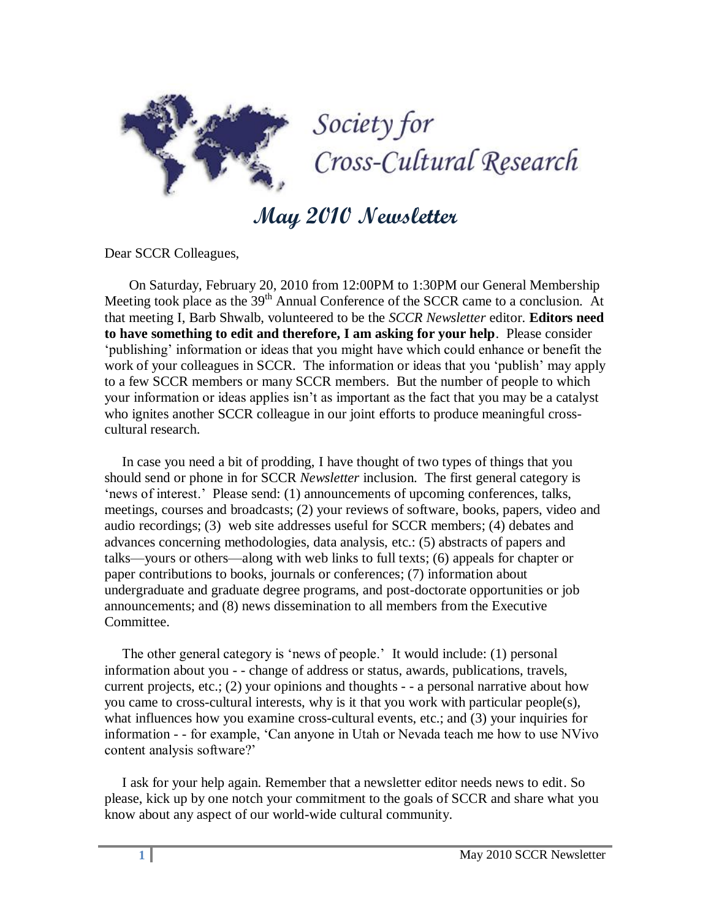

**May 2010 Newsletter**

Dear SCCR Colleagues,

 On Saturday, February 20, 2010 from 12:00PM to 1:30PM our General Membership Meeting took place as the 39<sup>th</sup> Annual Conference of the SCCR came to a conclusion. At that meeting I, Barb Shwalb, volunteered to be the *SCCR Newsletter* editor. **Editors need to have something to edit and therefore, I am asking for your help**. Please consider ‗publishing' information or ideas that you might have which could enhance or benefit the work of your colleagues in SCCR. The information or ideas that you 'publish' may apply to a few SCCR members or many SCCR members. But the number of people to which your information or ideas applies isn't as important as the fact that you may be a catalyst who ignites another SCCR colleague in our joint efforts to produce meaningful crosscultural research.

 In case you need a bit of prodding, I have thought of two types of things that you should send or phone in for SCCR *Newsletter* inclusion. The first general category is ‗news of interest.' Please send: (1) announcements of upcoming conferences, talks, meetings, courses and broadcasts; (2) your reviews of software, books, papers, video and audio recordings; (3) web site addresses useful for SCCR members; (4) debates and advances concerning methodologies, data analysis, etc.: (5) abstracts of papers and talks—yours or others—along with web links to full texts; (6) appeals for chapter or paper contributions to books, journals or conferences; (7) information about undergraduate and graduate degree programs, and post-doctorate opportunities or job announcements; and (8) news dissemination to all members from the Executive Committee.

The other general category is 'news of people.' It would include: (1) personal information about you - - change of address or status, awards, publications, travels, current projects, etc.; (2) your opinions and thoughts - - a personal narrative about how you came to cross-cultural interests, why is it that you work with particular people(s), what influences how you examine cross-cultural events, etc.; and (3) your inquiries for information - - for example, 'Can anyone in Utah or Nevada teach me how to use NVivo content analysis software?'

 I ask for your help again. Remember that a newsletter editor needs news to edit. So please, kick up by one notch your commitment to the goals of SCCR and share what you know about any aspect of our world-wide cultural community.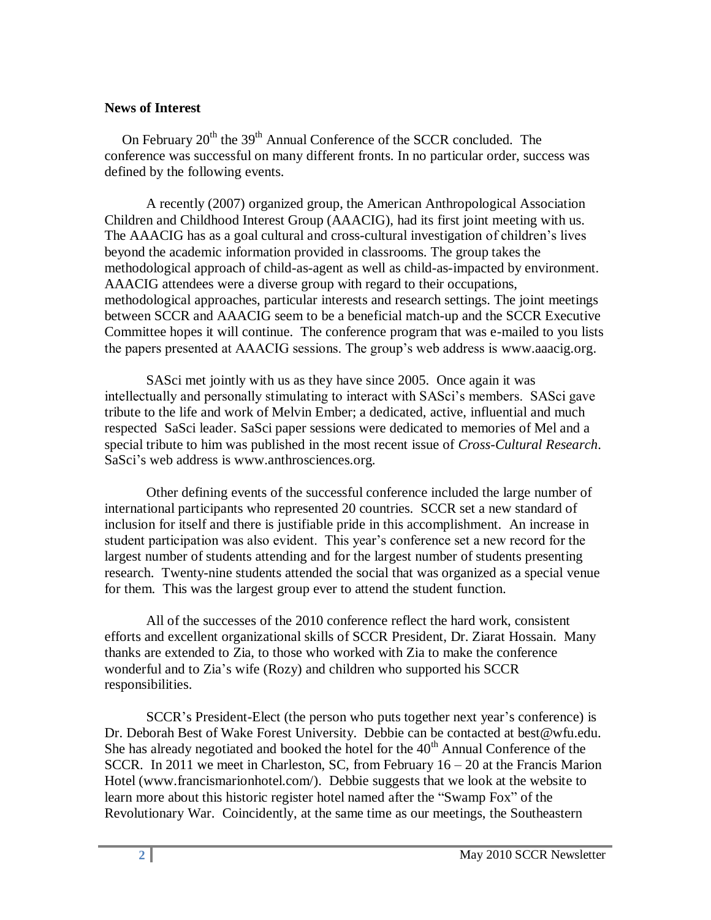## **News of Interest**

On February  $20^{th}$  the  $39^{th}$  Annual Conference of the SCCR concluded. The conference was successful on many different fronts. In no particular order, success was defined by the following events.

A recently (2007) organized group, the American Anthropological Association Children and Childhood Interest Group (AAACIG), had its first joint meeting with us. The AAACIG has as a goal cultural and cross-cultural investigation of children's lives beyond the academic information provided in classrooms. The group takes the methodological approach of child-as-agent as well as child-as-impacted by environment. AAACIG attendees were a diverse group with regard to their occupations, methodological approaches, particular interests and research settings. The joint meetings between SCCR and AAACIG seem to be a beneficial match-up and the SCCR Executive Committee hopes it will continue. The conference program that was e-mailed to you lists the papers presented at AAACIG sessions. The group's web address is www.aaacig.org.

SASci met jointly with us as they have since 2005. Once again it was intellectually and personally stimulating to interact with SASci's members. SASci gave tribute to the life and work of Melvin Ember; a dedicated, active, influential and much respected SaSci leader. SaSci paper sessions were dedicated to memories of Mel and a special tribute to him was published in the most recent issue of *Cross-Cultural Research*. SaSci's web address is www.anthrosciences.org.

Other defining events of the successful conference included the large number of international participants who represented 20 countries. SCCR set a new standard of inclusion for itself and there is justifiable pride in this accomplishment. An increase in student participation was also evident. This year's conference set a new record for the largest number of students attending and for the largest number of students presenting research. Twenty-nine students attended the social that was organized as a special venue for them. This was the largest group ever to attend the student function.

All of the successes of the 2010 conference reflect the hard work, consistent efforts and excellent organizational skills of SCCR President, Dr. Ziarat Hossain. Many thanks are extended to Zia, to those who worked with Zia to make the conference wonderful and to Zia's wife (Rozy) and children who supported his SCCR responsibilities.

SCCR's President-Elect (the person who puts together next year's conference) is Dr. Deborah Best of Wake Forest University. Debbie can be contacted at best@wfu.edu. She has already negotiated and booked the hotel for the  $40<sup>th</sup>$  Annual Conference of the SCCR. In 2011 we meet in Charleston, SC, from February  $16 - 20$  at the Francis Marion Hotel (www.francismarionhotel.com/). Debbie suggests that we look at the website to learn more about this historic register hotel named after the "Swamp Fox" of the Revolutionary War. Coincidently, at the same time as our meetings, the Southeastern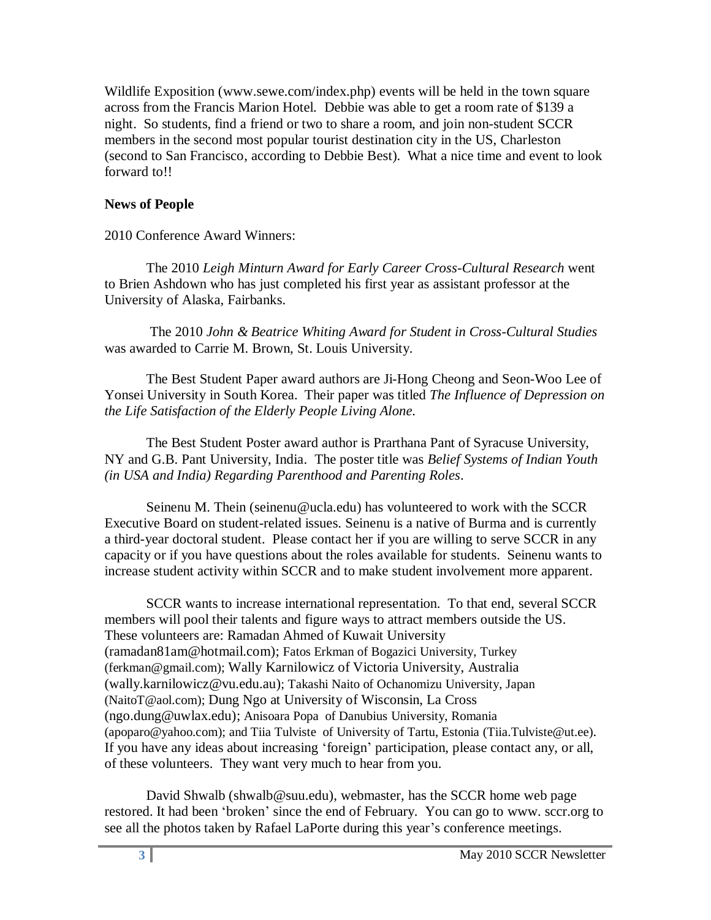Wildlife Exposition (www.sewe.com/index.php) events will be held in the town square across from the Francis Marion Hotel. Debbie was able to get a room rate of \$139 a night. So students, find a friend or two to share a room, and join non-student SCCR members in the second most popular tourist destination city in the US, Charleston (second to San Francisco, according to Debbie Best). What a nice time and event to look forward to!!

## **News of People**

## 2010 Conference Award Winners:

The 2010 *Leigh Minturn Award for Early Career Cross-Cultural Research* went to Brien Ashdown who has just completed his first year as assistant professor at the University of Alaska, Fairbanks.

The 2010 *[John & Beatrice Whiting Award for Student in Cross-Cultural Studies](http://www.sccr.org/whiting.pdf)*  was awarded to Carrie M. Brown, St. Louis University.

The Best Student Paper award authors are Ji-Hong Cheong and Seon-Woo Lee of Yonsei University in South Korea. Their paper was titled *The Influence of Depression on the Life Satisfaction of the Elderly People Living Alone.*

The Best Student Poster award author is Prarthana Pant of Syracuse University, NY and G.B. Pant University, India. The poster title was *Belief Systems of Indian Youth (in USA and India) Regarding Parenthood and Parenting Roles*.

Seinenu M. Thein (seinenu@ucla.edu) has volunteered to work with the SCCR Executive Board on student-related issues. Seinenu is a native of Burma and is currently a third-year doctoral student. Please contact her if you are willing to serve SCCR in any capacity or if you have questions about the roles available for students. Seinenu wants to increase student activity within SCCR and to make student involvement more apparent.

SCCR wants to increase international representation. To that end, several SCCR members will pool their talents and figure ways to attract members outside the US. These volunteers are: Ramadan Ahmed of Kuwait University (ramadan81am@hotmail.com); Fatos Erkman of Bogazici University, Turkey (ferkman@gmail.com); Wally Karnilowicz of Victoria University, Australia (wally.karnilowicz@vu.edu.au); Takashi Naito of Ochanomizu University, Japan (NaitoT@aol.com); Dung Ngo at University of Wisconsin, La Cross (ngo.dung@uwlax.edu); Anisoara Popa of Danubius University, Romania (apoparo@yahoo.com); and Tiia Tulviste of University of Tartu, Estonia (Tiia.Tulviste@ut.ee). If you have any ideas about increasing 'foreign' participation, please contact any, or all, of these volunteers. They want very much to hear from you.

David Shwalb (shwalb@suu.edu), webmaster, has the SCCR home web page restored. It had been 'broken' since the end of February. You can go to www. sccr.org to see all the photos taken by Rafael LaPorte during this year's conference meetings.